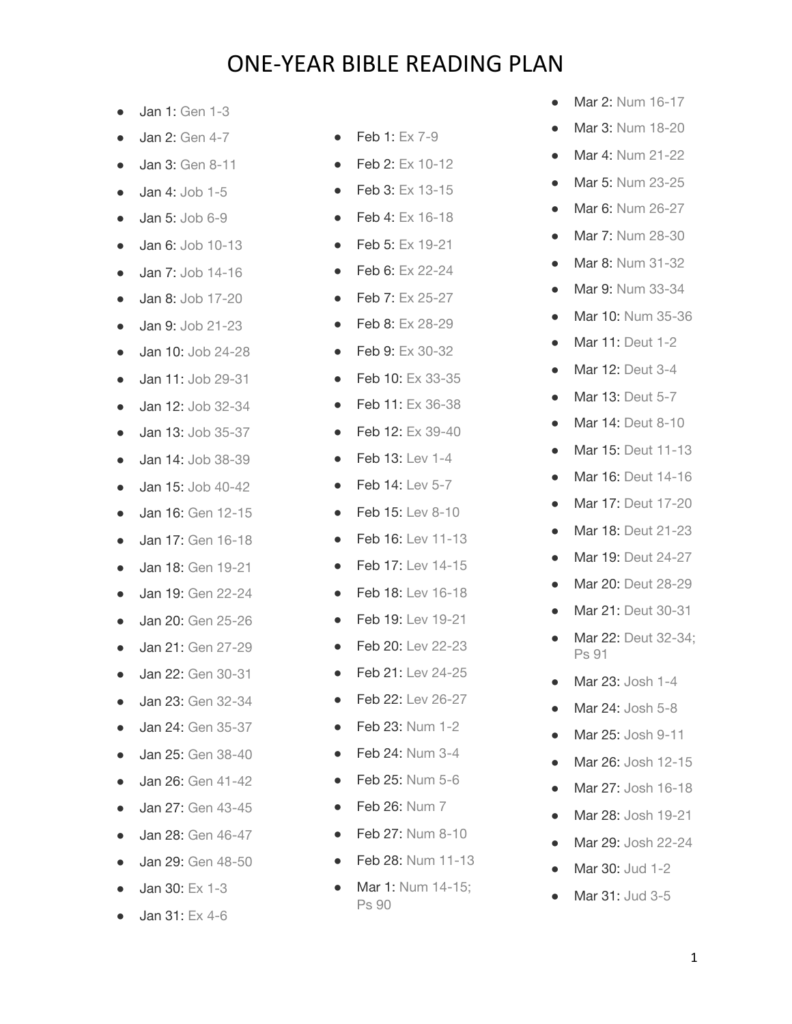- Jan 1: [Gen 1-3](https://www.christianity.com/bible/bible.php?ver=nas&q=gen+1-3)
- $\bullet$  Jan 2: [Gen 4-7](https://www.christianity.com/bible/bible.php?ver=nas&q=gen+4-7)
- Jan 3: [Gen 8-11](https://www.christianity.com/bible/bible.php?ver=nas&q=gen+8-11)
- Jan 4: [Job 1-5](https://www.christianity.com/bible/bible.php?ver=nas&q=job+1-5)
- **Jan 5: [Job 6-9](https://www.christianity.com/bible/bible.php?ver=nas&q=job+6-9)**
- **Jan 6: [Job 10-13](https://www.christianity.com/bible/bible.php?ver=nas&q=job+10-13)**
- **Jan 7: [Job 14-16](https://www.christianity.com/bible/bible.php?ver=nas&q=job+14-16)**
- Jan 8: [Job 17-20](https://www.christianity.com/bible/bible.php?ver=nas&q=job+17-20)
- Jan 9: [Job 21-23](https://www.christianity.com/bible/bible.php?ver=nas&q=job+21-23)
- Jan 10: [Job 24-28](https://www.christianity.com/bible/bible.php?ver=nas&q=job+24-28)
- Jan 11: [Job 29-31](https://www.christianity.com/bible/bible.php?ver=nas&q=job+29-31)
- Jan 12: [Job 32-34](https://www.christianity.com/bible/bible.php?ver=nas&q=job+32-34)
- **Jan 13: [Job 35-37](https://www.christianity.com/bible/bible.php?ver=nas&q=job+35-37)**
- **Jan 14: [Job 38-39](https://www.christianity.com/bible/bible.php?ver=nas&q=job+38-39)**
- Jan 15: [Job 40-42](https://www.christianity.com/bible/bible.php?ver=nas&q=job+40-42)
- Jan 16: [Gen 12-15](https://www.christianity.com/bible/bible.php?ver=nas&q=gen+12-15)
- Jan 17: [Gen 16-18](https://www.christianity.com/bible/bible.php?ver=nas&q=gen+16-18)
- Jan 18: [Gen 19-21](https://www.christianity.com/bible/bible.php?ver=nas&q=gen+19-21)
- Jan 19: [Gen 22-24](https://www.christianity.com/bible/bible.php?ver=nas&q=gen+22-24)
- Jan 20: [Gen 25-26](https://www.christianity.com/bible/bible.php?ver=nas&q=gen+25-26)
- Jan 21: [Gen 27-29](https://www.christianity.com/bible/bible.php?ver=nas&q=gen+27-29)
- Jan 22: [Gen 30-31](https://www.christianity.com/bible/bible.php?ver=nas&q=gen+30-31)
- Jan 23: [Gen 32-34](https://www.christianity.com/bible/bible.php?ver=nas&q=gen+32-34)
- **Jan 24: [Gen 35-37](https://www.christianity.com/bible/bible.php?ver=nas&q=gen+35-37)**
- Jan 25: [Gen 38-40](https://www.christianity.com/bible/bible.php?ver=nas&q=gen+38-40)
- Jan 26: [Gen 41-42](https://www.christianity.com/bible/bible.php?ver=nas&q=gen+41-42)
- **Jan 27: [Gen 43-45](https://www.christianity.com/bible/bible.php?ver=nas&q=gen+43-45)**
- Jan 28: [Gen 46-47](https://www.christianity.com/bible/bible.php?ver=nas&q=gen+46-47)
- Jan 29: [Gen 48-50](https://www.christianity.com/bible/bible.php?ver=nas&q=gen+48-50)
- Jan 30: [Ex 1-3](https://www.christianity.com/bible/bible.php?ver=nas&q=ex+1-3)
- Jan 31: [Ex 4-6](https://www.christianity.com/bible/bible.php?ver=nas&q=ex+4-6)
- Feb 1: [Ex 7-9](https://www.christianity.com/bible/bible.php?ver=nas&q=ex+7-9)
- Feb 2: [Ex 10-12](https://www.christianity.com/bible/bible.php?ver=nas&q=ex+10-12)
- Feb 3: [Ex 13-15](https://www.christianity.com/bible/bible.php?ver=nas&q=ex+13-15)
- Feb 4: [Ex 16-18](https://www.christianity.com/bible/bible.php?ver=nas&q=ex+16-18)
- Feb 5: [Ex 19-21](https://www.christianity.com/bible/bible.php?ver=nas&q=ex+19-21)
- Feb 6: [Ex 22-24](https://www.christianity.com/bible/bible.php?ver=nas&q=ex+22-24)
- Feb 7: [Ex 25-27](https://www.christianity.com/bible/bible.php?ver=nas&q=ex+25-27)
- Feb 8: [Ex 28-29](https://www.christianity.com/bible/bible.php?ver=nas&q=ex+28-29)
- Feb 9: [Ex 30-32](https://www.christianity.com/bible/bible.php?ver=nas&q=ex+30-32)
- Feb 10: [Ex 33-35](https://www.christianity.com/bible/bible.php?ver=nas&q=ex+33-35)
- Feb 11: [Ex 36-38](https://www.christianity.com/bible/bible.php?ver=nas&q=ex+36-38)
- Feb 12: [Ex 39-40](https://www.christianity.com/bible/bible.php?ver=nas&q=ex+39-40)
- $\bullet$  Feb 13: [Lev 1-4](https://www.christianity.com/bible/bible.php?ver=nas&q=lev+1-4)
- $\bullet$  Feb 14: [Lev 5-7](https://www.christianity.com/bible/bible.php?ver=nas&q=lev+5-7)
- Feb 15: [Lev 8-10](https://www.christianity.com/bible/bible.php?ver=nas&q=lev+8-10)
- Feb 16: [Lev 11-13](https://www.christianity.com/bible/bible.php?ver=nas&q=lev+11-13)
- Feb 17: [Lev 14-15](https://www.christianity.com/bible/bible.php?ver=nas&q=lev+14-15)
- Feb 18: [Lev 16-18](https://www.christianity.com/bible/bible.php?ver=nas&q=lev+16-18)
- Feb 19: [Lev 19-21](https://www.christianity.com/bible/bible.php?ver=nas&q=lev+19-21)
- Feb 20: [Lev 22-23](https://www.christianity.com/bible/bible.php?ver=nas&q=lev+22-23)
- Feb 21: [Lev 24-25](https://www.christianity.com/bible/bible.php?ver=nas&q=lev+24-25)
- Feb 22: [Lev 26-27](https://www.christianity.com/bible/bible.php?ver=nas&q=lev+26-27)
- Feb 23: [Num 1-2](https://www.christianity.com/bible/bible.php?ver=nas&q=num+1-2)
- Feb 24: [Num 3-4](https://www.christianity.com/bible/bible.php?ver=nas&q=num+3-4)
- Feb 25: [Num 5-6](https://www.christianity.com/bible/bible.php?ver=nas&q=num+5-6)
- $\bullet$  Feb 26: [Num 7](https://www.christianity.com/bible/bible.php?ver=nas&q=num+7)
- Feb 27: [Num 8-10](https://www.christianity.com/bible/bible.php?ver=nas&q=num+8-10)
- Feb 28: [Num 11-13](https://www.christianity.com/bible/bible.php?ver=nas&q=num+11-13)
- Mar 1: Num 14-15: [Ps 90](https://www.christianity.com/bible/bible.php?ver=nas&q=num+14-15;ps+90)
- Mar 2: [Num 16-17](https://www.christianity.com/bible/bible.php?ver=nas&q=num+16-17)
- Mar 3: [Num 18-20](https://www.christianity.com/bible/bible.php?ver=nas&q=num+18-20)
- Mar 4: [Num 21-22](https://www.christianity.com/bible/bible.php?ver=nas&q=num+21-22)
- Mar 5: [Num 23-25](https://www.christianity.com/bible/bible.php?ver=nas&q=num+23-25)
- Mar 6: [Num 26-27](https://www.christianity.com/bible/bible.php?ver=nas&q=num+26-27)
- Mar 7: [Num 28-30](https://www.christianity.com/bible/bible.php?ver=nas&q=num+28-30)
- Mar 8: [Num 31-32](https://www.christianity.com/bible/bible.php?ver=nas&q=num+31-32)
- Mar 9: [Num 33-34](https://www.christianity.com/bible/bible.php?ver=nas&q=num+33-34)
- Mar 10: [Num 35-36](https://www.christianity.com/bible/bible.php?ver=nas&q=num+35-36)
- Mar 11: [Deut 1-2](https://www.christianity.com/bible/bible.php?ver=nas&q=deut+1-2)
- Mar 12: [Deut 3-4](https://www.christianity.com/bible/bible.php?ver=nas&q=deut+3-4)
- Mar 13: [Deut 5-7](https://www.christianity.com/bible/bible.php?ver=nas&q=deut+5-7)
- Mar 14: [Deut 8-10](https://www.christianity.com/bible/bible.php?ver=nas&q=deut+8-10)
- Mar 15: [Deut 11-13](https://www.christianity.com/bible/bible.php?ver=nas&q=deut+11-13)
- Mar 16: [Deut 14-16](https://www.christianity.com/bible/bible.php?ver=nas&q=deut+14-16)
- Mar 17: [Deut 17-20](https://www.christianity.com/bible/bible.php?ver=nas&q=deut+17-20)
- Mar 18: [Deut 21-23](https://www.christianity.com/bible/bible.php?ver=nas&q=deut+21-23)
- Mar 19: [Deut 24-27](https://www.christianity.com/bible/bible.php?ver=nas&q=deut+24-27)
- Mar 20: [Deut 28-29](https://www.christianity.com/bible/bible.php?ver=nas&q=deut+28-29)
- Mar 21: [Deut 30-31](https://www.christianity.com/bible/bible.php?ver=nas&q=deut+30-31)
- Mar 22: Deut 32-34: [Ps 91](https://www.christianity.com/bible/bible.php?ver=nas&q=deut+32-34;ps+91)
- Mar 23: [Josh 1-4](https://www.christianity.com/bible/bible.php?ver=nas&q=josh+1-4)
- Mar 24: [Josh 5-8](https://www.christianity.com/bible/bible.php?ver=nas&q=josh+5-8)
- Mar 25: [Josh 9-11](https://www.christianity.com/bible/bible.php?ver=nas&q=josh+9-11)
- Mar 26: [Josh 12-15](https://www.christianity.com/bible/bible.php?ver=nas&q=josh+12-15)
- Mar 27: [Josh 16-18](https://www.christianity.com/bible/bible.php?ver=nas&q=josh+16-18)
- Mar 28: [Josh 19-21](https://www.christianity.com/bible/bible.php?ver=nas&q=josh+19-21)
- Mar 29: [Josh 22-24](https://www.christianity.com/bible/bible.php?ver=nas&q=josh+22-24)
- Mar 30: [Jud 1-2](https://www.christianity.com/bible/bible.php?ver=nas&q=judg+1-2)
- Mar 31: [Jud 3-5](https://www.christianity.com/bible/bible.php?ver=nas&q=judg+3-5)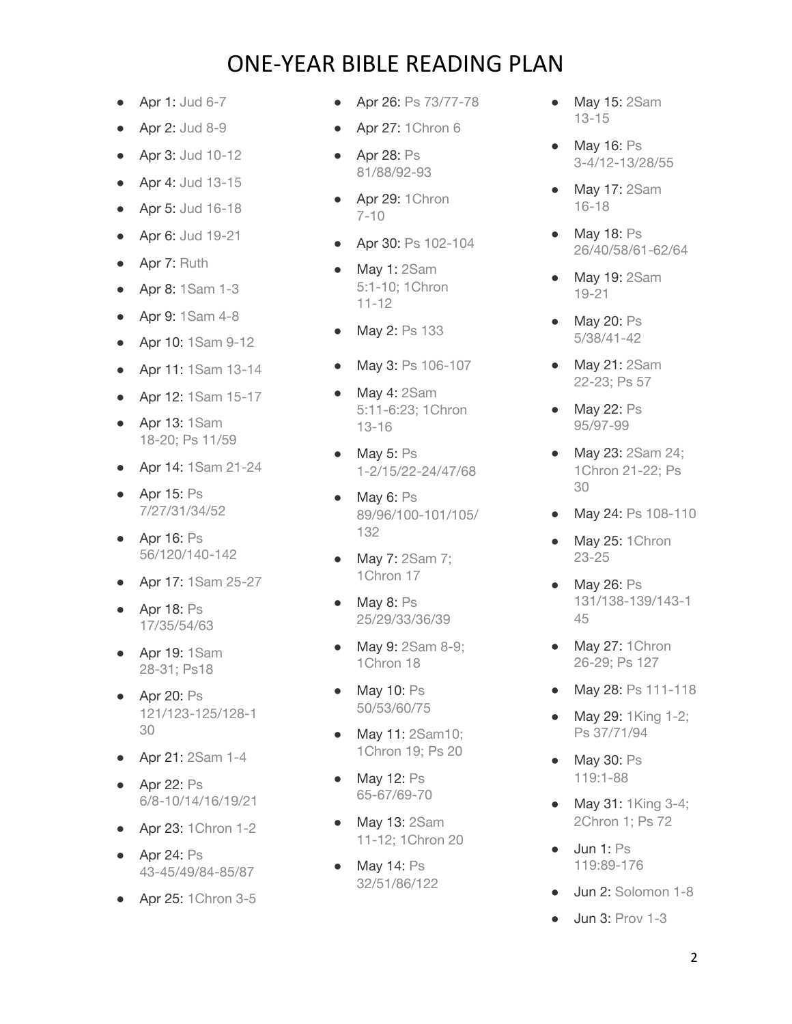- Apr 1: [Jud 6-7](https://www.christianity.com/bible/bible.php?ver=nas&q=judg+6-7)
- Apr 2: [Jud 8-9](https://www.christianity.com/bible/bible.php?ver=nas&q=judg+8-9)
- Apr 3: [Jud 10-12](https://www.christianity.com/bible/bible.php?ver=nas&q=judg+10-12)
- Apr 4: [Jud 13-15](https://www.christianity.com/bible/bible.php?ver=nas&q=judg+13-15)
- Apr 5: [Jud 16-18](https://www.christianity.com/bible/bible.php?ver=nas&q=judg+16-18)
- Apr 6: [Jud 19-21](https://www.christianity.com/bible/bible.php?ver=nas&q=judg+19-21)
- Apr 7: [Ruth](https://www.christianity.com/bible/bible.php?ver=nas&q=ruth+1-4)
- Apr 8: [1Sam 1-3](https://www.christianity.com/bible/bible.php?ver=nas&q=1sam+1-3)
- Apr 9: [1Sam 4-8](https://www.christianity.com/bible/bible.php?ver=nas&q=1sam+4-8)
- Apr 10: [1Sam 9-12](https://www.christianity.com/bible/bible.php?ver=nas&q=1sam+9-12)
- Apr 11: [1Sam 13-14](https://www.christianity.com/bible/bible.php?ver=nas&q=1sam+13-14)
- Apr 12: [1Sam 15-17](https://www.christianity.com/bible/bible.php?ver=nas&q=1sam+15-17)
- Apr 13: [1Sam](https://www.christianity.com/bible/bible.php?ver=nas&q=1sam+18-20;ps+11;ps+59) [18-20; Ps 11/59](https://www.christianity.com/bible/bible.php?ver=nas&q=1sam+18-20;ps+11;ps+59)
- Apr 14: [1Sam 21-24](https://www.christianity.com/bible/bible.php?ver=nas&q=1sam+21-24)
- Apr 15: [Ps](https://www.christianity.com/bible/bible.php?ver=nas&q=ps+7;ps+27;ps+31;ps+34;ps+52) [7/27/31/34/52](https://www.christianity.com/bible/bible.php?ver=nas&q=ps+7;ps+27;ps+31;ps+34;ps+52)
- Apr 16: [Ps](https://www.christianity.com/bible/bible.php?ver=nas&q=ps+56;ps+120;ps+140-142) [56/120/140-142](https://www.christianity.com/bible/bible.php?ver=nas&q=ps+56;ps+120;ps+140-142)
- Apr 17: [1Sam 25-27](https://www.christianity.com/bible/bible.php?ver=nas&q=1sam+25-27)
- Apr 18: [Ps](https://www.christianity.com/bible/bible.php?ver=nas&q=ps+17;ps+35;ps+54;ps+63) [17/35/54/63](https://www.christianity.com/bible/bible.php?ver=nas&q=ps+17;ps+35;ps+54;ps+63)
- Apr 19: [1Sam](https://www.christianity.com/bible/bible.php?ver=nas&q=1sam+28-31;ps+18) [28-31; Ps18](https://www.christianity.com/bible/bible.php?ver=nas&q=1sam+28-31;ps+18)
- Apr 20: [Ps](https://www.christianity.com/bible/bible.php?ver=nas&q=ps+121;ps+123-125;ps+128-130) [121/123-125/128-1](https://www.christianity.com/bible/bible.php?ver=nas&q=ps+121;ps+123-125;ps+128-130) [30](https://www.christianity.com/bible/bible.php?ver=nas&q=ps+121;ps+123-125;ps+128-130)
- Apr 21: [2Sam 1-4](https://www.christianity.com/bible/bible.php?ver=nas&q=2sam+1-4)
- Apr 22: [Ps](https://www.christianity.com/bible/bible.php?ver=nas&q=ps+6;ps+8-10;ps+14;ps+16;ps+19;ps+21) [6/8-10/14/16/19/21](https://www.christianity.com/bible/bible.php?ver=nas&q=ps+6;ps+8-10;ps+14;ps+16;ps+19;ps+21)
- Apr 23: [1Chron 1-2](https://www.christianity.com/bible/bible.php?ver=nas&q=1chron+1-2)
- Apr 24: [Ps](https://www.christianity.com/bible/bible.php?ver=nas&q=ps+43-45;ps+49;ps+84-85;ps+87) [43-45/49/84-85/87](https://www.christianity.com/bible/bible.php?ver=nas&q=ps+43-45;ps+49;ps+84-85;ps+87)
- Apr 25: [1Chron 3-5](https://www.christianity.com/bible/bible.php?ver=nas&q=1chron+3-5)
- Apr 26: [Ps 73/77-78](https://www.christianity.com/bible/bible.php?ver=nas&q=ps+73;ps+77-78)
- Apr 27: [1Chron 6](https://www.christianity.com/bible/bible.php?ver=nas&q=1chron+6)
- Apr 28: [Ps](https://www.christianity.com/bible/bible.php?ver=nas&q=ps+81;ps+88;ps+92-93) [81/88/92-93](https://www.christianity.com/bible/bible.php?ver=nas&q=ps+81;ps+88;ps+92-93)
- Apr 29: [1Chron](https://www.christianity.com/bible/bible.php?ver=nas&q=1chron+7-10) [7-10](https://www.christianity.com/bible/bible.php?ver=nas&q=1chron+7-10)
- Apr 30: [Ps 102-104](https://www.christianity.com/bible/bible.php?ver=nas&q=ps+102-104)
- May 1: [2Sam](https://www.christianity.com/bible/bible.php?ver=nas&q=2sam+5:1-10;1chron+11-12) [5:1-10; 1Chron](https://www.christianity.com/bible/bible.php?ver=nas&q=2sam+5:1-10;1chron+11-12) [11-12](https://www.christianity.com/bible/bible.php?ver=nas&q=2sam+5:1-10;1chron+11-12)
- May 2: [Ps 133](https://www.christianity.com/bible/bible.php?ver=nas&q=ps+133)
- May 3: [Ps 106-107](https://www.christianity.com/bible/bible.php?ver=nas&q=ps+106-107)
- May 4: [2Sam](https://www.christianity.com/bible/bible.php?ver=nas&q=2sam+5:11-6:23;1chron+13-16) [5:11-6:23; 1Chron](https://www.christianity.com/bible/bible.php?ver=nas&q=2sam+5:11-6:23;1chron+13-16) [13-16](https://www.christianity.com/bible/bible.php?ver=nas&q=2sam+5:11-6:23;1chron+13-16)
- May  $5:$  [Ps](https://www.christianity.com/bible/bible.php?ver=nas&q=ps+1-2;ps+15;ps+22-24;ps+47;ps+68) [1-2/15/22-24/47/68](https://www.christianity.com/bible/bible.php?ver=nas&q=ps+1-2;ps+15;ps+22-24;ps+47;ps+68)
- May 6: [Ps](https://www.christianity.com/bible/bible.php?ver=nas&q=ps+89;ps+96;ps+100-101;ps+105;ps+132) [89/96/100-101/105/](https://www.christianity.com/bible/bible.php?ver=nas&q=ps+89;ps+96;ps+100-101;ps+105;ps+132) [132](https://www.christianity.com/bible/bible.php?ver=nas&q=ps+89;ps+96;ps+100-101;ps+105;ps+132)
- May 7: [2Sam 7;](https://www.christianity.com/bible/bible.php?ver=nas&q=2sam+7;1chron+17) [1Chron 17](https://www.christianity.com/bible/bible.php?ver=nas&q=2sam+7;1chron+17)
- May 8: [Ps](https://www.christianity.com/bible/bible.php?ver=nas&q=ps+25;ps+29;ps+33;ps+36;ps+39) [25/29/33/36/39](https://www.christianity.com/bible/bible.php?ver=nas&q=ps+25;ps+29;ps+33;ps+36;ps+39)
- May 9: [2Sam 8-9;](https://www.christianity.com/bible/bible.php?ver=nas&q=2sam+8-9;1chron+18) [1Chron 18](https://www.christianity.com/bible/bible.php?ver=nas&q=2sam+8-9;1chron+18)
- May 10: [Ps](https://www.christianity.com/bible/bible.php?ver=nas&q=ps+50;ps+53;ps+60;ps+75) [50/53/60/75](https://www.christianity.com/bible/bible.php?ver=nas&q=ps+50;ps+53;ps+60;ps+75)
- May 11: [2Sam10;](https://www.christianity.com/bible/bible.php?ver=nas&q=2sam+10;1chron+19;ps+20) [1Chron 19; Ps 20](https://www.christianity.com/bible/bible.php?ver=nas&q=2sam+10;1chron+19;ps+20)
- May 12: [Ps](https://www.christianity.com/bible/bible.php?ver=nas&q=ps+65-67;ps+69-70) [65-67/69-70](https://www.christianity.com/bible/bible.php?ver=nas&q=ps+65-67;ps+69-70)
- May 13: [2Sam](https://www.christianity.com/bible/bible.php?ver=nas&q=2sam+11-12;1chron+20) [11-12; 1Chron 20](https://www.christianity.com/bible/bible.php?ver=nas&q=2sam+11-12;1chron+20)
- May 14: [Ps](https://www.christianity.com/bible/bible.php?ver=nas&q=ps+32;ps+51;ps+86;ps+122) [32/51/86/122](https://www.christianity.com/bible/bible.php?ver=nas&q=ps+32;ps+51;ps+86;ps+122)
- May 15: [2Sam](https://www.christianity.com/bible/bible.php?ver=nas&q=2sam+13-15) [13-15](https://www.christianity.com/bible/bible.php?ver=nas&q=2sam+13-15)
- May 16: [Ps](https://www.christianity.com/bible/bible.php?ver=nas&q=ps+3-4;ps+12-13;ps+28;ps+55) [3-4/12-13/28/55](https://www.christianity.com/bible/bible.php?ver=nas&q=ps+3-4;ps+12-13;ps+28;ps+55)
- May 17: [2Sam](https://www.christianity.com/bible/bible.php?ver=nas&q=2sam+16-18) [16-18](https://www.christianity.com/bible/bible.php?ver=nas&q=2sam+16-18)
- May 18: [Ps](https://www.christianity.com/bible/bible.php?ver=nas&q=ps+26;ps+40;ps+58;ps+61-62;ps+64) [26/40/58/61-62/64](https://www.christianity.com/bible/bible.php?ver=nas&q=ps+26;ps+40;ps+58;ps+61-62;ps+64)
- May 19: [2Sam](https://www.christianity.com/bible/bible.php?ver=nas&q=2sam+19-21) [19-21](https://www.christianity.com/bible/bible.php?ver=nas&q=2sam+19-21)
- May 20: [Ps](https://www.christianity.com/bible/bible.php?ver=nas&q=ps+5;ps+38;ps+41-42) [5/38/41-42](https://www.christianity.com/bible/bible.php?ver=nas&q=ps+5;ps+38;ps+41-42)
- May 21: [2Sam](https://www.christianity.com/bible/bible.php?ver=nas&q=2sam+22-23;ps+57) [22-23; Ps 57](https://www.christianity.com/bible/bible.php?ver=nas&q=2sam+22-23;ps+57)
- May 22: [Ps](https://www.christianity.com/bible/bible.php?ver=nas&q=ps+95;ps+97-99) [95/97-99](https://www.christianity.com/bible/bible.php?ver=nas&q=ps+95;ps+97-99)
- May 23: [2Sam 24;](https://www.christianity.com/bible/bible.php?ver=nas&q=2sam+24;1chron+21-22;ps+30) [1Chron 21-22; Ps](https://www.christianity.com/bible/bible.php?ver=nas&q=2sam+24;1chron+21-22;ps+30) [30](https://www.christianity.com/bible/bible.php?ver=nas&q=2sam+24;1chron+21-22;ps+30)
- May 24: [Ps 108-110](https://www.christianity.com/bible/bible.php?ver=nas&q=ps+108-110)
- May 25: [1Chron](https://www.christianity.com/bible/bible.php?ver=nas&q=1chron+23-25) [23-25](https://www.christianity.com/bible/bible.php?ver=nas&q=1chron+23-25)
- May 26: [Ps](https://www.christianity.com/bible/bible.php?ver=nas&q=ps+131;ps+138-139;ps+143-145) [131/138-139/143-1](https://www.christianity.com/bible/bible.php?ver=nas&q=ps+131;ps+138-139;ps+143-145) [45](https://www.christianity.com/bible/bible.php?ver=nas&q=ps+131;ps+138-139;ps+143-145)
- May 27: [1Chron](https://www.christianity.com/bible/bible.php?ver=nas&q=1chron+26-29;ps+127) [26-29; Ps 127](https://www.christianity.com/bible/bible.php?ver=nas&q=1chron+26-29;ps+127)
- May 28: [Ps 111-118](https://www.christianity.com/bible/bible.php?ver=nas&q=ps+111-118)
- May 29: [1King 1-2;](https://www.christianity.com/bible/bible.php?ver=nas&q=1king+1-2;ps+37;ps+71;ps+94) [Ps 37/71/94](https://www.christianity.com/bible/bible.php?ver=nas&q=1king+1-2;ps+37;ps+71;ps+94)
- May 30: [Ps](https://www.christianity.com/bible/bible.php?ver=nas&q=ps+119:1-88) [119:1-88](https://www.christianity.com/bible/bible.php?ver=nas&q=ps+119:1-88)
- May 31: [1King 3-4;](https://www.christianity.com/bible/bible.php?ver=nas&q=1king+3-4;2chron+1;ps+72) [2Chron 1; Ps 72](https://www.christianity.com/bible/bible.php?ver=nas&q=1king+3-4;2chron+1;ps+72)
- Jun 1: [Ps](https://www.christianity.com/bible/bible.php?ver=nas&q=ps+119:89-176) [119:89-176](https://www.christianity.com/bible/bible.php?ver=nas&q=ps+119:89-176)
- Jun 2: [Solomon 1-8](https://www.christianity.com/bible/bible.php?ver=nas&q=solomon+1-8)
- **Jun 3: [Prov 1-3](https://www.christianity.com/bible/bible.php?ver=nas&q=prov+1-3)**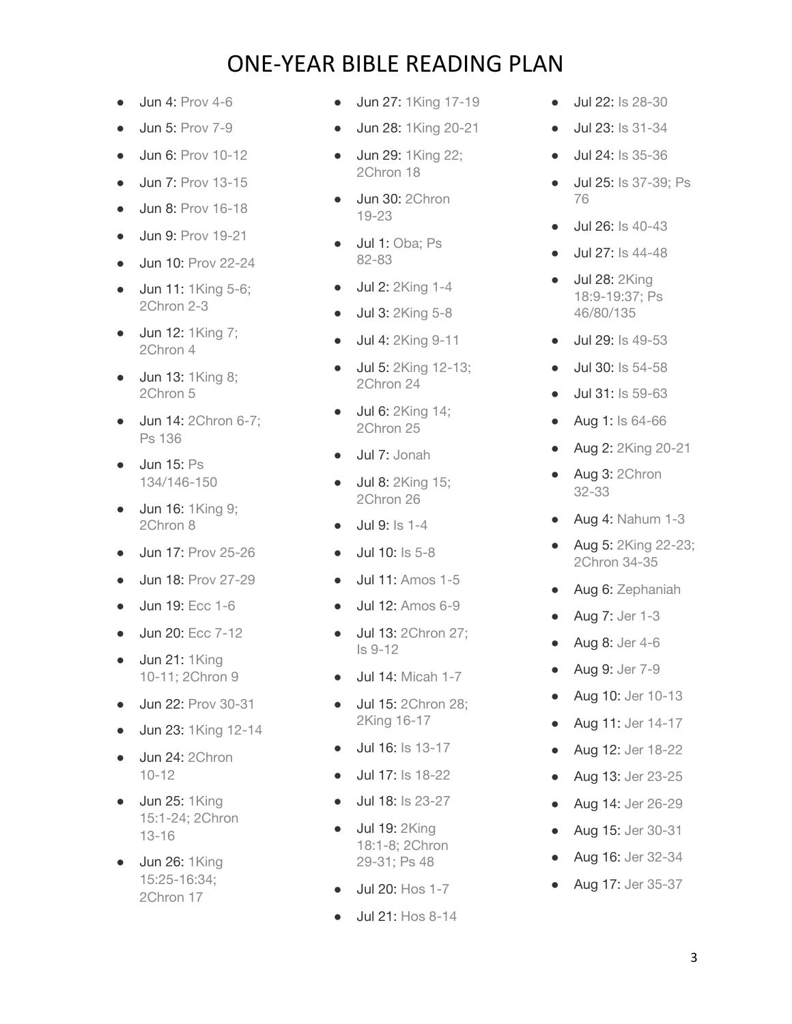- $\bullet$  Jun 4: [Prov 4-6](https://www.christianity.com/bible/bible.php?ver=nas&q=prov+4-6)
- **Jun 5: [Prov 7-9](https://www.christianity.com/bible/bible.php?ver=nas&q=prov+7-9)**
- Jun 6: [Prov 10-12](https://www.christianity.com/bible/bible.php?ver=nas&q=prov+10-12)
- Jun 7: [Prov 13-15](https://www.christianity.com/bible/bible.php?ver=nas&q=prov+13-15)
- **Jun 8: [Prov 16-18](https://www.christianity.com/bible/bible.php?ver=nas&q=prov+16-18)**
- **Jun 9: [Prov 19-21](https://www.christianity.com/bible/bible.php?ver=nas&q=prov+19-21)**
- **Jun 10: [Prov 22-24](https://www.christianity.com/bible/bible.php?ver=nas&q=prov+22-24)**
- Jun 11: [1King 5-6;](https://www.christianity.com/bible/bible.php?ver=nas&q=1king+5-6;2chron+2-3) [2Chron 2-3](https://www.christianity.com/bible/bible.php?ver=nas&q=1king+5-6;2chron+2-3)
- Jun 12: [1King 7;](https://www.christianity.com/bible/bible.php?ver=nas&q=1king+7;2chron+4) [2Chron 4](https://www.christianity.com/bible/bible.php?ver=nas&q=1king+7;2chron+4)
- Jun 13: [1King 8;](https://www.christianity.com/bible/bible.php?ver=nas&q=1king+8;2chron+5) [2Chron 5](https://www.christianity.com/bible/bible.php?ver=nas&q=1king+8;2chron+5)
- Jun 14: [2Chron 6-7;](https://www.christianity.com/bible/bible.php?ver=nas&q=2chron+6-7;ps+136) [Ps 136](https://www.christianity.com/bible/bible.php?ver=nas&q=2chron+6-7;ps+136)
- Jun 15: [Ps](https://www.christianity.com/bible/bible.php?ver=nas&q=ps+134;ps+146-150) [134/146-150](https://www.christianity.com/bible/bible.php?ver=nas&q=ps+134;ps+146-150)
- Jun 16: [1King 9;](https://www.christianity.com/bible/bible.php?ver=nas&q=1king+9;2chron+8) [2Chron 8](https://www.christianity.com/bible/bible.php?ver=nas&q=1king+9;2chron+8)
- Jun 17: [Prov 25-26](https://www.christianity.com/bible/bible.php?ver=nas&q=prov+25-26)
- Jun 18: [Prov 27-29](https://www.christianity.com/bible/bible.php?ver=nas&q=prov+27-29)
- Jun 19: [Ecc 1-6](https://www.christianity.com/bible/bible.php?ver=nas&q=ecc+1-6)
- Jun 20: [Ecc 7-12](https://www.christianity.com/bible/bible.php?ver=nas&q=ecc+7-12)
- Jun 21: [1King](https://www.christianity.com/bible/bible.php?ver=nas&q=1king+10-11;2chron+9) [10-11; 2Chron 9](https://www.christianity.com/bible/bible.php?ver=nas&q=1king+10-11;2chron+9)
- Jun 22: [Prov 30-31](https://www.christianity.com/bible/bible.php?ver=nas&q=prov+30-31)
- Jun 23: [1King 12-14](https://www.christianity.com/bible/bible.php?ver=nas&q=1king+12-14)
- Jun 24: [2Chron](https://www.christianity.com/bible/bible.php?ver=nas&q=2chron+10-12) [10-12](https://www.christianity.com/bible/bible.php?ver=nas&q=2chron+10-12)
- $\bullet$  Jun 25: [1King](https://www.christianity.com/bible/bible.php?ver=nas&q=1king+15:1-24;2chron+13-16) [15:1-24; 2Chron](https://www.christianity.com/bible/bible.php?ver=nas&q=1king+15:1-24;2chron+13-16) [13-16](https://www.christianity.com/bible/bible.php?ver=nas&q=1king+15:1-24;2chron+13-16)
- Jun 26: [1King](https://www.christianity.com/bible/bible.php?ver=nas&q=1king+15:25-16:34;2chron+17) [15:25-16:34;](https://www.christianity.com/bible/bible.php?ver=nas&q=1king+15:25-16:34;2chron+17) [2Chron 17](https://www.christianity.com/bible/bible.php?ver=nas&q=1king+15:25-16:34;2chron+17)
- Jun 27: [1King 17-19](https://www.christianity.com/bible/bible.php?ver=nas&q=1king+17-19)
- Jun 28: [1King 20-21](https://www.christianity.com/bible/bible.php?ver=nas&q=1king+20-21)
- Jun 29: [1King 22;](https://www.christianity.com/bible/bible.php?ver=nas&q=1king+22;2chron+18) [2Chron 18](https://www.christianity.com/bible/bible.php?ver=nas&q=1king+22;2chron+18)
- Jun 30: [2Chron](https://www.christianity.com/bible/bible.php?ver=nas&q=2chron+19-23) [19-23](https://www.christianity.com/bible/bible.php?ver=nas&q=2chron+19-23)
- **Jul 1:** Oba: Ps [82-83](https://www.christianity.com/bible/bible.php?ver=nas&q=oba+1;ps+82-83)
- Jul 2: [2King 1-4](https://www.christianity.com/bible/bible.php?ver=nas&q=2king+1-4)
- Jul 3: [2King 5-8](https://www.christianity.com/bible/bible.php?ver=nas&q=2king+5-8)
- Jul 4: [2King 9-11](https://www.christianity.com/bible/bible.php?ver=nas&q=2king+9-11)
- Jul 5: [2King 12-13;](https://www.christianity.com/bible/bible.php?ver=nas&q=2king+12-13;2chron+24) [2Chron 24](https://www.christianity.com/bible/bible.php?ver=nas&q=2king+12-13;2chron+24)
- **Jul 6:** [2King 14;](https://www.christianity.com/bible/bible.php?ver=nas&q=2king+14;2chron+25) [2Chron 25](https://www.christianity.com/bible/bible.php?ver=nas&q=2king+14;2chron+25)
- Jul 7: [Jonah](https://www.christianity.com/bible/bible.php?ver=nas&q=jonah+1-4)
- Jul 8: [2King 15;](https://www.christianity.com/bible/bible.php?ver=nas&q=2king+15;2chron+26) [2Chron 26](https://www.christianity.com/bible/bible.php?ver=nas&q=2king+15;2chron+26)
- Jul 9: [Is 1-4](https://www.christianity.com/bible/bible.php?ver=nas&q=is+1-4)
- Jul 10: [Is 5-8](https://www.christianity.com/bible/bible.php?ver=nas&q=is+5-8)
- Jul 11: [Amos 1-5](https://www.christianity.com/bible/bible.php?ver=nas&q=amos+1-5)
- Jul 12: [Amos 6-9](https://www.christianity.com/bible/bible.php?ver=nas&q=amos+6-9)
- Jul 13: [2Chron 27;](https://www.christianity.com/bible/bible.php?ver=nas&q=2chron+27;is+9-12) [Is 9-12](https://www.christianity.com/bible/bible.php?ver=nas&q=2chron+27;is+9-12)
- Jul 14: [Micah 1-7](https://www.christianity.com/bible/bible.php?ver=nas&q=micah+1-7)
- Jul 15: [2Chron 28;](https://www.christianity.com/bible/bible.php?ver=nas&q=2chron+28;2king+16-17) [2King 16-17](https://www.christianity.com/bible/bible.php?ver=nas&q=2chron+28;2king+16-17)
- Jul 16: [Is 13-17](https://www.christianity.com/bible/bible.php?ver=nas&q=is+13-17)
- Jul 17: [Is 18-22](https://www.christianity.com/bible/bible.php?ver=nas&q=is+18-22)
- Jul 18: [Is 23-27](https://www.christianity.com/bible/bible.php?ver=nas&q=is+23-27)
- Jul 19: [2King](https://www.christianity.com/bible/bible.php?ver=nas&q=2king+18:1-8;2chron+29-31;ps+48) [18:1-8; 2Chron](https://www.christianity.com/bible/bible.php?ver=nas&q=2king+18:1-8;2chron+29-31;ps+48) [29-31; Ps 48](https://www.christianity.com/bible/bible.php?ver=nas&q=2king+18:1-8;2chron+29-31;ps+48)
- Jul 20: [Hos 1-7](https://www.christianity.com/bible/bible.php?ver=nas&q=hos+1-7)
- Jul 21: [Hos 8-14](https://www.christianity.com/bible/bible.php?ver=nas&q=hos+8-14)
- Jul 22: [Is 28-30](https://www.christianity.com/bible/bible.php?ver=nas&q=is+28-30)
- Jul 23: [Is 31-34](https://www.christianity.com/bible/bible.php?ver=nas&q=is+31-34)
- Jul 24: [Is 35-36](https://www.christianity.com/bible/bible.php?ver=nas&q=is+35-36)
- Jul 25: [Is 37-39; Ps](https://www.christianity.com/bible/bible.php?ver=nas&q=is+37-39;ps+76) [76](https://www.christianity.com/bible/bible.php?ver=nas&q=is+37-39;ps+76)
- Jul 26: [Is 40-43](https://www.christianity.com/bible/bible.php?ver=nas&q=is+40-43)
- Jul 27: [Is 44-48](https://www.christianity.com/bible/bible.php?ver=nas&q=is+44-48)
- Jul 28: [2King](https://www.christianity.com/bible/bible.php?ver=nas&q=2king+18:9-19:37;ps+46;ps+80;ps+135) [18:9-19:37; Ps](https://www.christianity.com/bible/bible.php?ver=nas&q=2king+18:9-19:37;ps+46;ps+80;ps+135) [46/80/135](https://www.christianity.com/bible/bible.php?ver=nas&q=2king+18:9-19:37;ps+46;ps+80;ps+135)
- Jul 29: [Is 49-53](https://www.christianity.com/bible/bible.php?ver=nas&q=is+49-53)
- Jul 30: [Is 54-58](https://www.christianity.com/bible/bible.php?ver=nas&q=is+54-58)
- Jul 31: [Is 59-63](https://www.christianity.com/bible/bible.php?ver=nas&q=is+59-63)
- Aug 1: [Is 64-66](https://www.christianity.com/bible/bible.php?ver=nas&q=is+64-66)
- Aug 2: [2King 20-21](https://www.christianity.com/bible/bible.php?ver=nas&q=2king+20-21)
- Aug 3: [2Chron](https://www.christianity.com/bible/bible.php?ver=nas&q=2chron+32-33) [32-33](https://www.christianity.com/bible/bible.php?ver=nas&q=2chron+32-33)
- $\bullet$  Aug 4: [Nahum 1-3](https://www.christianity.com/bible/bible.php?ver=nas&q=nahum+1-3)
- Aug 5: [2King 22-23;](https://www.christianity.com/bible/bible.php?ver=nas&q=2king+22-23;2chron+34-35) [2Chron 34-35](https://www.christianity.com/bible/bible.php?ver=nas&q=2king+22-23;2chron+34-35)
- Aug 6: [Zephaniah](https://www.christianity.com/bible/bible.php?ver=nas&q=zephaniah+1-3)
- Aug 7: [Jer 1-3](https://www.christianity.com/bible/bible.php?ver=nas&q=jer+1-3)
- Aug 8: [Jer 4-6](https://www.christianity.com/bible/bible.php?ver=nas&q=jer+4-6)
- Aug 9: [Jer 7-9](https://www.christianity.com/bible/bible.php?ver=nas&q=jer+7-9)
- Aug 10: [Jer 10-13](https://www.christianity.com/bible/bible.php?ver=nas&q=jer+10-13)
- Aug 11: [Jer 14-17](https://www.christianity.com/bible/bible.php?ver=nas&q=jer+14-17)
- Aug 12: [Jer 18-22](https://www.christianity.com/bible/bible.php?ver=nas&q=jer+18-22)
- Aug 13: [Jer 23-25](https://www.christianity.com/bible/bible.php?ver=nas&q=jer+23-25)
- Aug 14: [Jer 26-29](https://www.christianity.com/bible/bible.php?ver=nas&q=jer+26-29)
- Aug 15: [Jer 30-31](https://www.christianity.com/bible/bible.php?ver=nas&q=jer+30-31)
- Aug 16: [Jer 32-34](https://www.christianity.com/bible/bible.php?ver=nas&q=jer+32-34)
- Aug 17: [Jer 35-37](https://www.christianity.com/bible/bible.php?ver=nas&q=jer+35-37)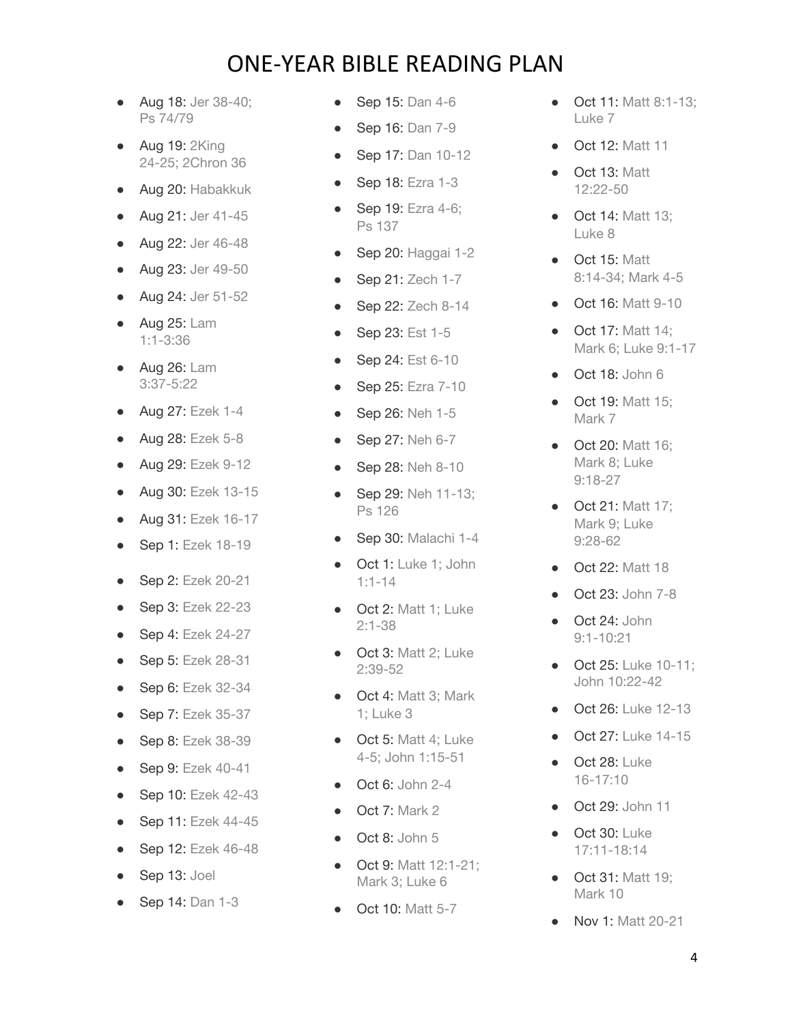- Aug 18: [Jer 38-40;](https://www.christianity.com/bible/bible.php?ver=nas&q=jer+38-40;ps+74;ps+79) [Ps 74/79](https://www.christianity.com/bible/bible.php?ver=nas&q=jer+38-40;ps+74;ps+79)
- Aug 19: [2King](https://www.christianity.com/bible/bible.php?ver=nas&q=2king+24-25;2chron+36) [24-25; 2Chron 36](https://www.christianity.com/bible/bible.php?ver=nas&q=2king+24-25;2chron+36)
- Aug 20: [Habakkuk](https://www.christianity.com/bible/bible.php?ver=nas&q=habakkuk+1-3)
- Aug 21: [Jer 41-45](https://www.christianity.com/bible/bible.php?ver=nas&q=jer+41-45)
- Aug 22: [Jer 46-48](https://www.christianity.com/bible/bible.php?ver=nas&q=jer+46-48)
- Aug 23: [Jer 49-50](https://www.christianity.com/bible/bible.php?ver=nas&q=jer+49-50)
- Aug 24: [Jer 51-52](https://www.christianity.com/bible/bible.php?ver=nas&q=jer+51-52)
- Aug 25: [Lam](https://www.christianity.com/bible/bible.php?ver=nas&q=lam+1:1-3:36) [1:1-3:36](https://www.christianity.com/bible/bible.php?ver=nas&q=lam+1:1-3:36)
- Aug 26: [Lam](https://www.christianity.com/bible/bible.php?ver=nas&q=lam+3:37-5:22) [3:37-5:22](https://www.christianity.com/bible/bible.php?ver=nas&q=lam+3:37-5:22)
- Aug 27: [Ezek 1-4](https://www.christianity.com/bible/bible.php?ver=nas&q=ezek+1-4)
- Aug 28: [Ezek 5-8](https://www.christianity.com/bible/bible.php?ver=nas&q=ezek+5-8)
- Aug 29: [Ezek 9-12](https://www.christianity.com/bible/bible.php?ver=nas&q=ezek+9-12)
- Aug 30: [Ezek 13-15](https://www.christianity.com/bible/bible.php?ver=nas&q=ezek+13-15)
- Aug 31: [Ezek 16-17](https://www.christianity.com/bible/bible.php?ver=nas&q=ezek+16-17)
- Sep 1: [Ezek 18-19](https://www.christianity.com/bible/bible.php?ver=nas&q=ezek+18-19)
- Sep 2: [Ezek 20-21](https://www.christianity.com/bible/bible.php?ver=nas&q=ezek+20-21)
- Sep 3: [Ezek 22-23](https://www.christianity.com/bible/bible.php?ver=nas&q=ezek+22-23)
- **Sep 4: [Ezek 24-27](https://www.christianity.com/bible/bible.php?ver=nas&q=ezek+24-27)**
- Sep 5: [Ezek 28-31](https://www.christianity.com/bible/bible.php?ver=nas&q=ezek+28-31)
- Sep 6: [Ezek 32-34](https://www.christianity.com/bible/bible.php?ver=nas&q=ezek+32-34)
- Sep 7: [Ezek 35-37](https://www.christianity.com/bible/bible.php?ver=nas&q=ezek+35-37)
- Sep 8: [Ezek 38-39](https://www.christianity.com/bible/bible.php?ver=nas&q=ezek+38-39)
- Sep 9: [Ezek 40-41](https://www.christianity.com/bible/bible.php?ver=nas&q=ezek+40-41)
- Sep 10: [Ezek 42-43](https://www.christianity.com/bible/bible.php?ver=nas&q=ezek+42-43)
- Sep 11: [Ezek 44-45](https://www.christianity.com/bible/bible.php?ver=nas&q=ezek+44-45)
- Sep 12: [Ezek 46-48](https://www.christianity.com/bible/bible.php?ver=nas&q=ezek+46-48)
- Sep 13: [Joel](https://www.christianity.com/bible/bible.php?ver=nas&q=joel+1-3)
- Sep 14: [Dan 1-3](https://www.christianity.com/bible/bible.php?ver=nas&q=dan+1-3)
- Sep 15: [Dan 4-6](https://www.christianity.com/bible/bible.php?ver=nas&q=dan+4-6)
- Sep 16: [Dan 7-9](https://www.christianity.com/bible/bible.php?ver=nas&q=dan+7-9)
- Sep 17: [Dan 10-12](https://www.christianity.com/bible/bible.php?ver=nas&q=dan+10-12)
- **Sep 18: [Ezra 1-3](https://www.christianity.com/bible/bible.php?ver=nas&q=ezra+1-3)**
- Sep 19: [Ezra 4-6;](https://www.christianity.com/bible/bible.php?ver=nas&q=ezra+4-6;ps+137) [Ps 137](https://www.christianity.com/bible/bible.php?ver=nas&q=ezra+4-6;ps+137)
- **Sep 20: [Haggai 1-2](https://www.christianity.com/bible/bible.php?ver=nas&q=haggai+1-2)**
- **Sep 21: [Zech 1-7](https://www.christianity.com/bible/bible.php?ver=nas&q=zech+1-7)**
- Sep 22: [Zech 8-14](https://www.christianity.com/bible/bible.php?ver=nas&q=zech+8-14)
- Sep 23: [Est 1-5](https://www.christianity.com/bible/bible.php?ver=nas&q=est+1-5)
- Sep 24: [Est 6-10](https://www.christianity.com/bible/bible.php?ver=nas&q=est+6-10)
- Sep 25: [Ezra 7-10](https://www.christianity.com/bible/bible.php?ver=nas&q=ezra+7-10)
- Sep 26: [Neh 1-5](https://www.christianity.com/bible/bible.php?ver=nas&q=neh+1-5)
- Sep 27: [Neh 6-7](https://www.christianity.com/bible/bible.php?ver=nas&q=neh+6-7)
- Sep 28: [Neh 8-10](https://www.christianity.com/bible/bible.php?ver=nas&q=neh+8-10)
- Sep 29: [Neh 11-13;](https://www.christianity.com/bible/bible.php?ver=nas&q=neh+11-13;ps+126) [Ps 126](https://www.christianity.com/bible/bible.php?ver=nas&q=neh+11-13;ps+126)
- Sep 30: [Malachi 1-4](https://www.christianity.com/bible/bible.php?ver=nas&q=malachi+1-4)
- Oct 1: [Luke 1; John](https://www.christianity.com/bible/bible.php?ver=nas&q=luke+1;john+1:1-14) [1:1-14](https://www.christianity.com/bible/bible.php?ver=nas&q=luke+1;john+1:1-14)
- Oct 2: [Matt 1; Luke](https://www.christianity.com/bible/bible.php?ver=nas&q=matt+1;luke+2:1-38) [2:1-38](https://www.christianity.com/bible/bible.php?ver=nas&q=matt+1;luke+2:1-38)
- Oct 3: [Matt 2; Luke](https://www.christianity.com/bible/bible.php?ver=nas&q=matt+2;luke+2:39-52) [2:39-52](https://www.christianity.com/bible/bible.php?ver=nas&q=matt+2;luke+2:39-52)
- Oct 4: [Matt 3; Mark](https://www.christianity.com/bible/bible.php?ver=nas&q=matt+3;mark+1;luke+3) [1; Luke 3](https://www.christianity.com/bible/bible.php?ver=nas&q=matt+3;mark+1;luke+3)
- Oct 5: [Matt 4; Luke](https://www.christianity.com/bible/bible.php?ver=nas&q=matt+4;luke+4-5;john+1:15-51) [4-5; John 1:15-51](https://www.christianity.com/bible/bible.php?ver=nas&q=matt+4;luke+4-5;john+1:15-51)
- **Oct 6: [John 2-4](https://www.christianity.com/bible/bible.php?ver=nas&q=john+2-4)**
- Oct 7: [Mark 2](https://www.christianity.com/bible/bible.php?ver=nas&q=mark+2)
- Oct 8: [John 5](https://www.christianity.com/bible/bible.php?ver=nas&q=john+5)
- Oct 9: [Matt 12:1-21;](https://www.christianity.com/bible/bible.php?ver=nas&q=matt+12:1-21;mark+3;luke+6) [Mark 3; Luke 6](https://www.christianity.com/bible/bible.php?ver=nas&q=matt+12:1-21;mark+3;luke+6)
- Oct 10: [Matt 5-7](https://www.christianity.com/bible/bible.php?ver=nas&q=matt+5-7)
- Oct 11: [Matt 8:1-13;](https://www.christianity.com/bible/bible.php?ver=nas&q=matt+8:1-13;luke+7) [Luke 7](https://www.christianity.com/bible/bible.php?ver=nas&q=matt+8:1-13;luke+7)
- **Oct 12: [Matt 11](https://www.christianity.com/bible/bible.php?ver=nas&q=matt+11)**
- Oct 13: [Matt](https://www.christianity.com/bible/bible.php?ver=nas&q=matt+12:22-50) [12:22-50](https://www.christianity.com/bible/bible.php?ver=nas&q=matt+12:22-50)
- Oct 14: [Matt 13;](https://www.christianity.com/bible/bible.php?ver=nas&q=matt+13;luke+8) [Luke 8](https://www.christianity.com/bible/bible.php?ver=nas&q=matt+13;luke+8)
- Oct 15: [Matt](https://www.christianity.com/bible/bible.php?ver=nas&q=matt+8:14-34;mark+4-5) [8:14-34; Mark 4-5](https://www.christianity.com/bible/bible.php?ver=nas&q=matt+8:14-34;mark+4-5)
- Oct 16: [Matt 9-10](https://www.christianity.com/bible/bible.php?ver=nas&q=matt+9-10)
- **Oct 17: [Matt 14;](https://www.christianity.com/bible/bible.php?ver=nas&q=matt+14;mark+6;luke+9:1-17)** [Mark 6; Luke 9:1-17](https://www.christianity.com/bible/bible.php?ver=nas&q=matt+14;mark+6;luke+9:1-17)
- **Oct 18: [John 6](https://www.christianity.com/bible/bible.php?ver=nas&q=john+6)**
- Oct 19: [Matt 15;](https://www.christianity.com/bible/bible.php?ver=nas&q=matt+15;mark+7) [Mark 7](https://www.christianity.com/bible/bible.php?ver=nas&q=matt+15;mark+7)
- Oct 20: [Matt 16;](https://www.christianity.com/bible/bible.php?ver=nas&q=matt+16;mark+8;luke+9:18-27) [Mark 8; Luke](https://www.christianity.com/bible/bible.php?ver=nas&q=matt+16;mark+8;luke+9:18-27) [9:18-27](https://www.christianity.com/bible/bible.php?ver=nas&q=matt+16;mark+8;luke+9:18-27)
- Oct 21: [Matt 17;](https://www.christianity.com/bible/bible.php?ver=nas&q=matt+17;mark+9;luke+9:28-62) [Mark 9; Luke](https://www.christianity.com/bible/bible.php?ver=nas&q=matt+17;mark+9;luke+9:28-62) [9:28-62](https://www.christianity.com/bible/bible.php?ver=nas&q=matt+17;mark+9;luke+9:28-62)
- Oct 22: [Matt 18](https://www.christianity.com/bible/bible.php?ver=nas&q=matt+18)
- Oct 23: [John 7-8](https://www.christianity.com/bible/bible.php?ver=nas&q=john+7-8)
- Oct 24: [John](https://www.christianity.com/bible/bible.php?ver=nas&q=john+9:1-10:21) [9:1-10:21](https://www.christianity.com/bible/bible.php?ver=nas&q=john+9:1-10:21)
- **Oct 25: [Luke 10-11;](https://www.christianity.com/bible/bible.php?ver=nas&q=luke+10-11;john+10:22-42)** [John 10:22-42](https://www.christianity.com/bible/bible.php?ver=nas&q=luke+10-11;john+10:22-42)
- Oct 26: [Luke 12-13](https://www.christianity.com/bible/bible.php?ver=nas&q=luke+12-13)
- Oct 27: [Luke 14-15](https://www.christianity.com/bible/bible.php?ver=nas&q=luke+14-15)
- Oct 28: [Luke](https://www.christianity.com/bible/bible.php?ver=nas&q=luke+16-17:10) [16-17:10](https://www.christianity.com/bible/bible.php?ver=nas&q=luke+16-17:10)
- **Oct 29: [John 11](https://www.christianity.com/bible/bible.php?ver=nas&q=john+11)**
- Oct 30: [Luke](https://www.christianity.com/bible/bible.php?ver=nas&q=luke+17:11-18:14) [17:11-18:14](https://www.christianity.com/bible/bible.php?ver=nas&q=luke+17:11-18:14)
- **Oct 31: Matt 19:** [Mark 10](https://www.christianity.com/bible/bible.php?ver=nas&q=matt+19;mark+10)
- Nov 1: [Matt 20-21](https://www.christianity.com/bible/bible.php?ver=nas&q=matt+20-21)